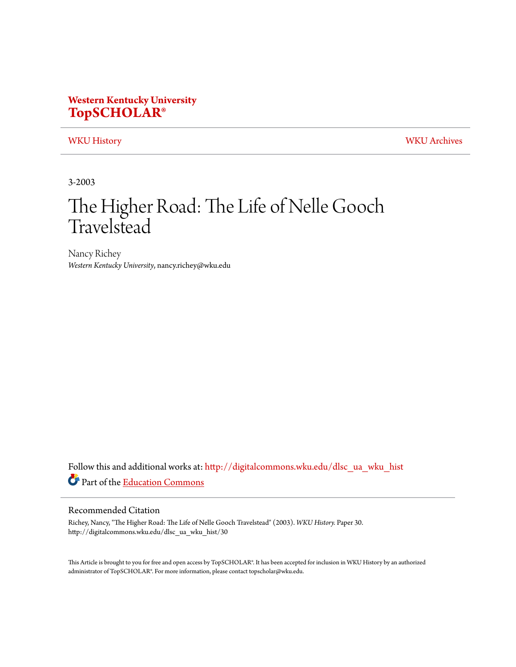## **Western Kentucky University [TopSCHOLAR®](http://digitalcommons.wku.edu?utm_source=digitalcommons.wku.edu%2Fdlsc_ua_wku_hist%2F30&utm_medium=PDF&utm_campaign=PDFCoverPages)**

[WKU History](http://digitalcommons.wku.edu/dlsc_ua_wku_hist?utm_source=digitalcommons.wku.edu%2Fdlsc_ua_wku_hist%2F30&utm_medium=PDF&utm_campaign=PDFCoverPages) [WKU Archives](http://digitalcommons.wku.edu/dlsc_ua?utm_source=digitalcommons.wku.edu%2Fdlsc_ua_wku_hist%2F30&utm_medium=PDF&utm_campaign=PDFCoverPages)

3-2003

# The Higher Road: The Life of Nelle Gooch Travelstead

Nancy Richey *Western Kentucky University*, nancy.richey@wku.edu

Follow this and additional works at: [http://digitalcommons.wku.edu/dlsc\\_ua\\_wku\\_hist](http://digitalcommons.wku.edu/dlsc_ua_wku_hist?utm_source=digitalcommons.wku.edu%2Fdlsc_ua_wku_hist%2F30&utm_medium=PDF&utm_campaign=PDFCoverPages) Part of the [Education Commons](http://network.bepress.com/hgg/discipline/784?utm_source=digitalcommons.wku.edu%2Fdlsc_ua_wku_hist%2F30&utm_medium=PDF&utm_campaign=PDFCoverPages)

### Recommended Citation

Richey, Nancy, "The Higher Road: The Life of Nelle Gooch Travelstead" (2003). *WKU History.* Paper 30. http://digitalcommons.wku.edu/dlsc\_ua\_wku\_hist/30

This Article is brought to you for free and open access by TopSCHOLAR®. It has been accepted for inclusion in WKU History by an authorized administrator of TopSCHOLAR®. For more information, please contact topscholar@wku.edu.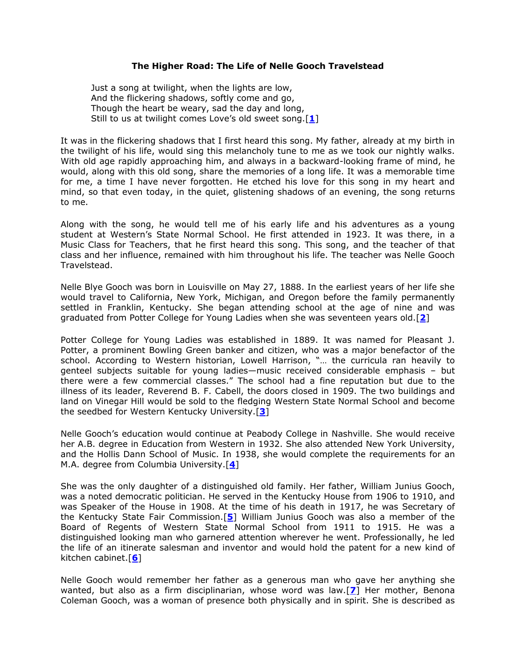#### **The Higher Road: The Life of Nelle Gooch Travelstead**

Just a song at twilight, when the lights are low, And the flickering shadows, softly come and go, Though the heart be weary, sad the day and long, Still to us at twilight comes Love's old sweet song.[**[1](file:///C:/Libraries/dlsc/ua/188.htm%231)**]

It was in the flickering shadows that I first heard this song. My father, already at my birth in the twilight of his life, would sing this melancholy tune to me as we took our nightly walks. With old age rapidly approaching him, and always in a backward-looking frame of mind, he would, along with this old song, share the memories of a long life. It was a memorable time for me, a time I have never forgotten. He etched his love for this song in my heart and mind, so that even today, in the quiet, glistening shadows of an evening, the song returns to me.

Along with the song, he would tell me of his early life and his adventures as a young student at Western's State Normal School. He first attended in 1923. It was there, in a Music Class for Teachers, that he first heard this song. This song, and the teacher of that class and her influence, remained with him throughout his life. The teacher was Nelle Gooch Travelstead.

Nelle Blye Gooch was born in Louisville on May 27, 1888. In the earliest years of her life she would travel to California, New York, Michigan, and Oregon before the family permanently settled in Franklin, Kentucky. She began attending school at the age of nine and was graduated from Potter College for Young Ladies when she was seventeen years old.[**[2](file:///C:/Libraries/dlsc/ua/188.htm%232)**]

Potter College for Young Ladies was established in 1889. It was named for Pleasant J. Potter, a prominent Bowling Green banker and citizen, who was a major benefactor of the school. According to Western historian, Lowell Harrison, "... the curricula ran heavily to genteel subjects suitable for young ladies—music received considerable emphasis – but there were a few commercial classes." The school had a fine reputation but due to the illness of its leader, Reverend B. F. Cabell, the doors closed in 1909. The two buildings and land on Vinegar Hill would be sold to the fledging Western State Normal School and become the seedbed for Western Kentucky University.[**[3](file:///C:/Libraries/dlsc/ua/188.htm%233)**]

Nelle Gooch's education would continue at Peabody College in Nashville. She would receive her A.B. degree in Education from Western in 1932. She also attended New York University, and the Hollis Dann School of Music. In 1938, she would complete the requirements for an M.A. degree from Columbia University.[**[4](file:///C:/Libraries/dlsc/ua/188.htm%234)**]

She was the only daughter of a distinguished old family. Her father, William Junius Gooch, was a noted democratic politician. He served in the Kentucky House from 1906 to 1910, and was Speaker of the House in 1908. At the time of his death in 1917, he was Secretary of the Kentucky State Fair Commission.[**[5](file:///C:/Libraries/dlsc/ua/188.htm%235)**] William Junius Gooch was also a member of the Board of Regents of Western State Normal School from 1911 to 1915. He was a distinguished looking man who garnered attention wherever he went. Professionally, he led the life of an itinerate salesman and inventor and would hold the patent for a new kind of kitchen cabinet.[**[6](file:///C:/Libraries/dlsc/ua/188.htm%236)**]

Nelle Gooch would remember her father as a generous man who gave her anything she wanted, but also as a firm disciplinarian, whose word was law.[**[7](file:///C:/Libraries/dlsc/ua/188.htm%237)**] Her mother, Benona Coleman Gooch, was a woman of presence both physically and in spirit. She is described as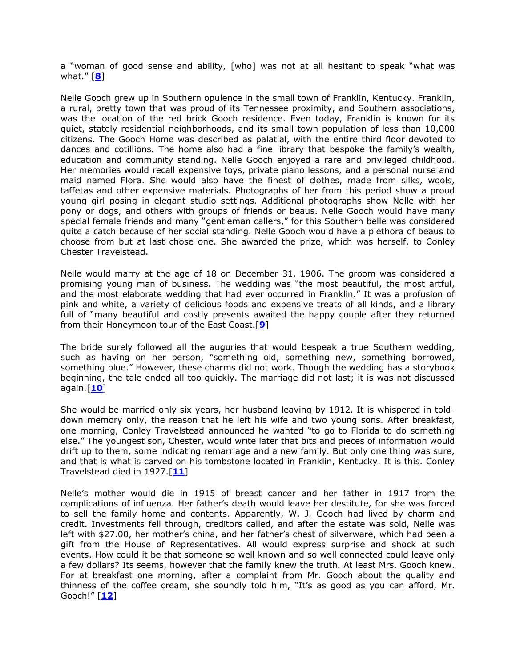a "woman of good sense and ability, [who] was not at all hesitant to speak "what was what.‖ [**[8](file:///C:/Libraries/dlsc/ua/188.htm%238)**]

Nelle Gooch grew up in Southern opulence in the small town of Franklin, Kentucky. Franklin, a rural, pretty town that was proud of its Tennessee proximity, and Southern associations, was the location of the red brick Gooch residence. Even today, Franklin is known for its quiet, stately residential neighborhoods, and its small town population of less than 10,000 citizens. The Gooch Home was described as palatial, with the entire third floor devoted to dances and cotillions. The home also had a fine library that bespoke the family's wealth, education and community standing. Nelle Gooch enjoyed a rare and privileged childhood. Her memories would recall expensive toys, private piano lessons, and a personal nurse and maid named Flora. She would also have the finest of clothes, made from silks, wools, taffetas and other expensive materials. Photographs of her from this period show a proud young girl posing in elegant studio settings. Additional photographs show Nelle with her pony or dogs, and others with groups of friends or beaus. Nelle Gooch would have many special female friends and many "gentleman callers," for this Southern belle was considered quite a catch because of her social standing. Nelle Gooch would have a plethora of beaus to choose from but at last chose one. She awarded the prize, which was herself, to Conley Chester Travelstead.

Nelle would marry at the age of 18 on December 31, 1906. The groom was considered a promising young man of business. The wedding was "the most beautiful, the most artful, and the most elaborate wedding that had ever occurred in Franklin." It was a profusion of pink and white, a variety of delicious foods and expensive treats of all kinds, and a library full of "many beautiful and costly presents awaited the happy couple after they returned from their Honeymoon tour of the East Coast.[**[9](file:///C:/Libraries/dlsc/ua/188.htm%239)**]

The bride surely followed all the auguries that would bespeak a true Southern wedding, such as having on her person, "something old, something new, something borrowed, something blue." However, these charms did not work. Though the wedding has a storybook beginning, the tale ended all too quickly. The marriage did not last; it is was not discussed again.[**[10](file:///C:/Libraries/dlsc/ua/188.htm%2310)**]

She would be married only six years, her husband leaving by 1912. It is whispered in tolddown memory only, the reason that he left his wife and two young sons. After breakfast, one morning, Conley Travelstead announced he wanted "to go to Florida to do something else." The youngest son, Chester, would write later that bits and pieces of information would drift up to them, some indicating remarriage and a new family. But only one thing was sure, and that is what is carved on his tombstone located in Franklin, Kentucky. It is this. Conley Travelstead died in 1927.[**[11](file:///C:/Libraries/dlsc/ua/188.htm%2311)**]

Nelle's mother would die in 1915 of breast cancer and her father in 1917 from the complications of influenza. Her father's death would leave her destitute, for she was forced to sell the family home and contents. Apparently, W. J. Gooch had lived by charm and credit. Investments fell through, creditors called, and after the estate was sold, Nelle was left with \$27.00, her mother's china, and her father's chest of silverware, which had been a gift from the House of Representatives. All would express surprise and shock at such events. How could it be that someone so well known and so well connected could leave only a few dollars? Its seems, however that the family knew the truth. At least Mrs. Gooch knew. For at breakfast one morning, after a complaint from Mr. Gooch about the quality and thinness of the coffee cream, she soundly told him, "It's as good as you can afford, Mr. Gooch!‖ [**[12](file:///C:/Libraries/dlsc/ua/188.htm%2312)**]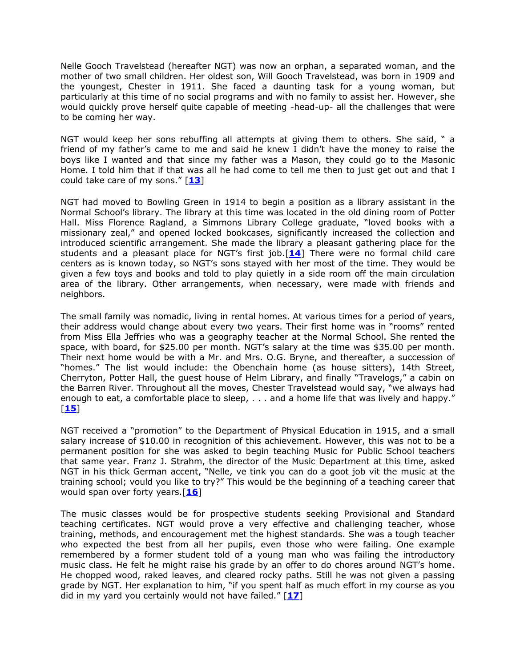Nelle Gooch Travelstead (hereafter NGT) was now an orphan, a separated woman, and the mother of two small children. Her oldest son, Will Gooch Travelstead, was born in 1909 and the youngest, Chester in 1911. She faced a daunting task for a young woman, but particularly at this time of no social programs and with no family to assist her. However, she would quickly prove herself quite capable of meeting -head-up- all the challenges that were to be coming her way.

NGT would keep her sons rebuffing all attempts at giving them to others. She said, " a friend of my father's came to me and said he knew I didn't have the money to raise the boys like I wanted and that since my father was a Mason, they could go to the Masonic Home. I told him that if that was all he had come to tell me then to just get out and that I could take care of my sons.‖ [**[13](file:///C:/Libraries/dlsc/ua/188.htm%2313)**]

NGT had moved to Bowling Green in 1914 to begin a position as a library assistant in the Normal School's library. The library at this time was located in the old dining room of Potter Hall. Miss Florence Ragland, a Simmons Library College graduate, "loved books with a missionary zeal," and opened locked bookcases, significantly increased the collection and introduced scientific arrangement. She made the library a pleasant gathering place for the students and a pleasant place for NGT's first job.[**[14](file:///C:/Libraries/dlsc/ua/188.htm%2314)**] There were no formal child care centers as is known today, so NGT's sons stayed with her most of the time. They would be given a few toys and books and told to play quietly in a side room off the main circulation area of the library. Other arrangements, when necessary, were made with friends and neighbors.

The small family was nomadic, living in rental homes. At various times for a period of years, their address would change about every two years. Their first home was in "rooms" rented from Miss Ella Jeffries who was a geography teacher at the Normal School. She rented the space, with board, for \$25.00 per month. NGT's salary at the time was \$35.00 per month. Their next home would be with a Mr. and Mrs. O.G. Bryne, and thereafter, a succession of "homes." The list would include: the Obenchain home (as house sitters), 14th Street, Cherryton, Potter Hall, the guest house of Helm Library, and finally "Travelogs," a cabin on the Barren River. Throughout all the moves, Chester Travelstead would say, "we always had enough to eat, a comfortable place to sleep,  $\dots$  and a home life that was lively and happy." [**[15](file:///C:/Libraries/dlsc/ua/188.htm%2315)**]

NGT received a "promotion" to the Department of Physical Education in 1915, and a small salary increase of \$10.00 in recognition of this achievement. However, this was not to be a permanent position for she was asked to begin teaching Music for Public School teachers that same year. Franz J. Strahm, the director of the Music Department at this time, asked NGT in his thick German accent, "Nelle, ve tink you can do a goot job vit the music at the training school; vould you like to try?" This would be the beginning of a teaching career that would span over forty years.[**[16](file:///C:/Libraries/dlsc/ua/188.htm%2316)**]

The music classes would be for prospective students seeking Provisional and Standard teaching certificates. NGT would prove a very effective and challenging teacher, whose training, methods, and encouragement met the highest standards. She was a tough teacher who expected the best from all her pupils, even those who were failing. One example remembered by a former student told of a young man who was failing the introductory music class. He felt he might raise his grade by an offer to do chores around NGT's home. He chopped wood, raked leaves, and cleared rocky paths. Still he was not given a passing grade by NGT. Her explanation to him, "if you spent half as much effort in my course as you did in my yard you certainly would not have failed.‖ [**[17](file:///C:/Libraries/dlsc/ua/188.htm%2317)**]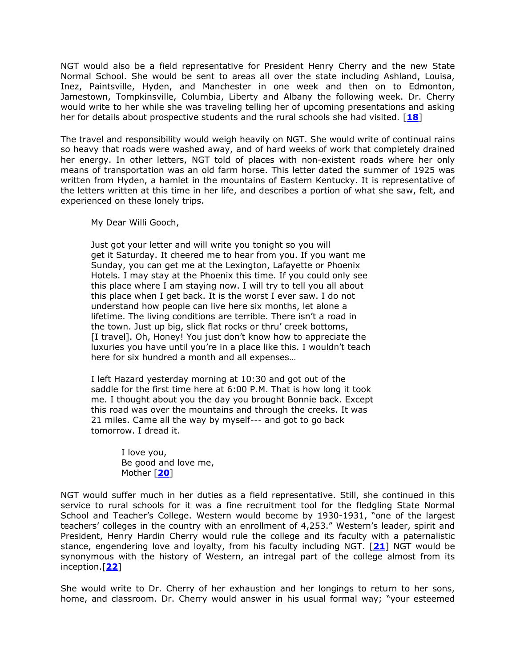NGT would also be a field representative for President Henry Cherry and the new State Normal School. She would be sent to areas all over the state including Ashland, Louisa, Inez, Paintsville, Hyden, and Manchester in one week and then on to Edmonton, Jamestown, Tompkinsville, Columbia, Liberty and Albany the following week. Dr. Cherry would write to her while she was traveling telling her of upcoming presentations and asking her for details about prospective students and the rural schools she had visited. [**[18](file:///C:/Libraries/dlsc/ua/188.htm%2318)**]

The travel and responsibility would weigh heavily on NGT. She would write of continual rains so heavy that roads were washed away, and of hard weeks of work that completely drained her energy. In other letters, NGT told of places with non-existent roads where her only means of transportation was an old farm horse. This letter dated the summer of 1925 was written from Hyden, a hamlet in the mountains of Eastern Kentucky. It is representative of the letters written at this time in her life, and describes a portion of what she saw, felt, and experienced on these lonely trips.

My Dear Willi Gooch,

Just got your letter and will write you tonight so you will get it Saturday. It cheered me to hear from you. If you want me Sunday, you can get me at the Lexington, Lafayette or Phoenix Hotels. I may stay at the Phoenix this time. If you could only see this place where I am staying now. I will try to tell you all about this place when I get back. It is the worst I ever saw. I do not understand how people can live here six months, let alone a lifetime. The living conditions are terrible. There isn't a road in the town. Just up big, slick flat rocks or thru' creek bottoms, [I travel]. Oh, Honey! You just don't know how to appreciate the luxuries you have until you're in a place like this. I wouldn't teach here for six hundred a month and all expenses…

I left Hazard yesterday morning at 10:30 and got out of the saddle for the first time here at 6:00 P.M. That is how long it took me. I thought about you the day you brought Bonnie back. Except this road was over the mountains and through the creeks. It was 21 miles. Came all the way by myself--- and got to go back tomorrow. I dread it.

> I love you, Be good and love me, Mother [**[20](file:///C:/Libraries/dlsc/ua/188.htm%2320)**]

NGT would suffer much in her duties as a field representative. Still, she continued in this service to rural schools for it was a fine recruitment tool for the fledgling State Normal School and Teacher's College. Western would become by 1930-1931, "one of the largest teachers' colleges in the country with an enrollment of 4,253." Western's leader, spirit and President, Henry Hardin Cherry would rule the college and its faculty with a paternalistic stance, engendering love and loyalty, from his faculty including NGT. [**[21](file:///C:/Libraries/dlsc/ua/188.htm%2321)**] NGT would be synonymous with the history of Western, an intregal part of the college almost from its inception.[**[22](file:///C:/Libraries/dlsc/ua/188.htm%2322)**]

She would write to Dr. Cherry of her exhaustion and her longings to return to her sons, home, and classroom. Dr. Cherry would answer in his usual formal way; "your esteemed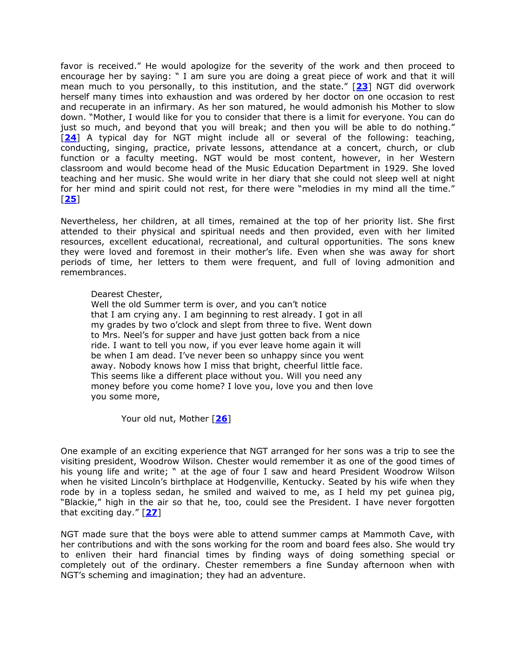favor is received." He would apologize for the severity of the work and then proceed to encourage her by saying: " I am sure you are doing a great piece of work and that it will mean much to you personally, to this institution, and the state.‖ [**[23](file:///C:/Libraries/dlsc/ua/188.htm%2323)**] NGT did overwork herself many times into exhaustion and was ordered by her doctor on one occasion to rest and recuperate in an infirmary. As her son matured, he would admonish his Mother to slow down. "Mother, I would like for you to consider that there is a limit for everyone. You can do just so much, and beyond that you will break; and then you will be able to do nothing." [**[24](file:///C:/Libraries/dlsc/ua/188.htm%2324)**] A typical day for NGT might include all or several of the following: teaching, conducting, singing, practice, private lessons, attendance at a concert, church, or club function or a faculty meeting. NGT would be most content, however, in her Western classroom and would become head of the Music Education Department in 1929. She loved teaching and her music. She would write in her diary that she could not sleep well at night for her mind and spirit could not rest, for there were "melodies in my mind all the time." [**[25](file:///C:/Libraries/dlsc/ua/188.htm%2325)**]

Nevertheless, her children, at all times, remained at the top of her priority list. She first attended to their physical and spiritual needs and then provided, even with her limited resources, excellent educational, recreational, and cultural opportunities. The sons knew they were loved and foremost in their mother's life. Even when she was away for short periods of time, her letters to them were frequent, and full of loving admonition and remembrances.

#### Dearest Chester,

Well the old Summer term is over, and you can't notice that I am crying any. I am beginning to rest already. I got in all my grades by two o'clock and slept from three to five. Went down to Mrs. Neel's for supper and have just gotten back from a nice ride. I want to tell you now, if you ever leave home again it will be when I am dead. I've never been so unhappy since you went away. Nobody knows how I miss that bright, cheerful little face. This seems like a different place without you. Will you need any money before you come home? I love you, love you and then love you some more,

Your old nut, Mother [**[26](file:///C:/Libraries/dlsc/ua/188.htm%2326)**]

One example of an exciting experience that NGT arranged for her sons was a trip to see the visiting president, Woodrow Wilson. Chester would remember it as one of the good times of his young life and write; " at the age of four I saw and heard President Woodrow Wilson when he visited Lincoln's birthplace at Hodgenville, Kentucky. Seated by his wife when they rode by in a topless sedan, he smiled and waived to me, as I held my pet guinea pig, "Blackie," high in the air so that he, too, could see the President. I have never forgotten that exciting day.‖ [**[27](file:///C:/Libraries/dlsc/ua/188.htm%2327)**]

NGT made sure that the boys were able to attend summer camps at Mammoth Cave, with her contributions and with the sons working for the room and board fees also. She would try to enliven their hard financial times by finding ways of doing something special or completely out of the ordinary. Chester remembers a fine Sunday afternoon when with NGT's scheming and imagination; they had an adventure.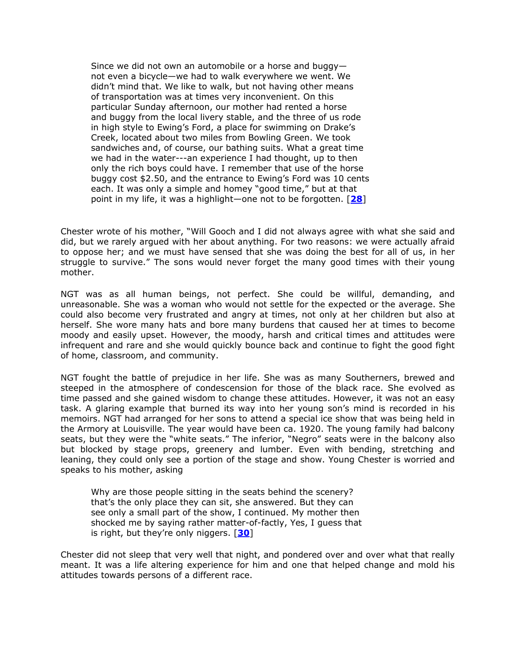Since we did not own an automobile or a horse and buggy not even a bicycle—we had to walk everywhere we went. We didn't mind that. We like to walk, but not having other means of transportation was at times very inconvenient. On this particular Sunday afternoon, our mother had rented a horse and buggy from the local livery stable, and the three of us rode in high style to Ewing's Ford, a place for swimming on Drake's Creek, located about two miles from Bowling Green. We took sandwiches and, of course, our bathing suits. What a great time we had in the water---an experience I had thought, up to then only the rich boys could have. I remember that use of the horse buggy cost \$2.50, and the entrance to Ewing's Ford was 10 cents each. It was only a simple and homey "good time," but at that point in my life, it was a highlight—one not to be forgotten. [**[28](file:///C:/Libraries/dlsc/ua/188.htm%2328)**]

Chester wrote of his mother, "Will Gooch and I did not always agree with what she said and did, but we rarely argued with her about anything. For two reasons: we were actually afraid to oppose her; and we must have sensed that she was doing the best for all of us, in her struggle to survive." The sons would never forget the many good times with their young mother.

NGT was as all human beings, not perfect. She could be willful, demanding, and unreasonable. She was a woman who would not settle for the expected or the average. She could also become very frustrated and angry at times, not only at her children but also at herself. She wore many hats and bore many burdens that caused her at times to become moody and easily upset. However, the moody, harsh and critical times and attitudes were infrequent and rare and she would quickly bounce back and continue to fight the good fight of home, classroom, and community.

NGT fought the battle of prejudice in her life. She was as many Southerners, brewed and steeped in the atmosphere of condescension for those of the black race. She evolved as time passed and she gained wisdom to change these attitudes. However, it was not an easy task. A glaring example that burned its way into her young son's mind is recorded in his memoirs. NGT had arranged for her sons to attend a special ice show that was being held in the Armory at Louisville. The year would have been ca. 1920. The young family had balcony seats, but they were the "white seats." The inferior, "Negro" seats were in the balcony also but blocked by stage props, greenery and lumber. Even with bending, stretching and leaning, they could only see a portion of the stage and show. Young Chester is worried and speaks to his mother, asking

Why are those people sitting in the seats behind the scenery? that's the only place they can sit, she answered. But they can see only a small part of the show, I continued. My mother then shocked me by saying rather matter-of-factly, Yes, I guess that is right, but they're only niggers. [**[30](file:///C:/Libraries/dlsc/ua/188.htm%2330)**]

Chester did not sleep that very well that night, and pondered over and over what that really meant. It was a life altering experience for him and one that helped change and mold his attitudes towards persons of a different race.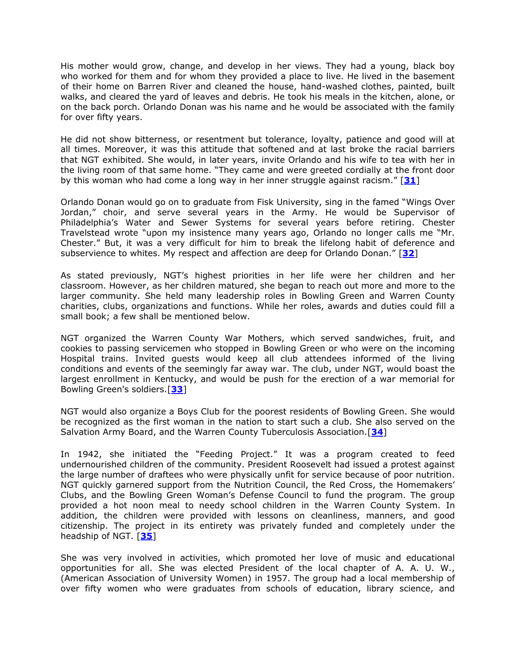His mother would grow, change, and develop in her views. They had a young, black boy who worked for them and for whom they provided a place to live. He lived in the basement of their home on Barren River and cleaned the house, hand-washed clothes, painted, built walks, and cleared the yard of leaves and debris. He took his meals in the kitchen, alone, or on the back porch. Orlando Donan was his name and he would be associated with the family for over fifty years.

He did not show bitterness, or resentment but tolerance, loyalty, patience and good will at all times. Moreover, it was this attitude that softened and at last broke the racial barriers that NGT exhibited. She would, in later years, invite Orlando and his wife to tea with her in the living room of that same home. "They came and were greeted cordially at the front door by this woman who had come a long way in her inner struggle against racism." [[31](file:///C:/Libraries/dlsc/ua/188.htm%2331)]

Orlando Donan would go on to graduate from Fisk University, sing in the famed "Wings Over" Jordan," choir, and serve several years in the Army. He would be Supervisor of Philadelphia's Water and Sewer Systems for several years before retiring. Chester Travelstead wrote "upon my insistence many years ago, Orlando no longer calls me "Mr. Chester.‖ But, it was a very difficult for him to break the lifelong habit of deference and subservience to whites. My respect and affection are deep for Orlando Donan.‖ [**[32](file:///C:/Libraries/dlsc/ua/188.htm%2332)**]

As stated previously, NGT's highest priorities in her life were her children and her classroom. However, as her children matured, she began to reach out more and more to the larger community. She held many leadership roles in Bowling Green and Warren County charities, clubs, organizations and functions. While her roles, awards and duties could fill a small book; a few shall be mentioned below.

NGT organized the Warren County War Mothers, which served sandwiches, fruit, and cookies to passing servicemen who stopped in Bowling Green or who were on the incoming Hospital trains. Invited guests would keep all club attendees informed of the living conditions and events of the seemingly far away war. The club, under NGT, would boast the largest enrollment in Kentucky, and would be push for the erection of a war memorial for Bowling Green's soldiers.[**[33](file:///C:/Libraries/dlsc/ua/188.htm%2333)**]

NGT would also organize a Boys Club for the poorest residents of Bowling Green. She would be recognized as the first woman in the nation to start such a club. She also served on the Salvation Army Board, and the Warren County Tuberculosis Association.[**[34](file:///C:/Libraries/dlsc/ua/188.htm%2334)**]

In 1942, she initiated the "Feeding Project." It was a program created to feed undernourished children of the community. President Roosevelt had issued a protest against the large number of draftees who were physically unfit for service because of poor nutrition. NGT quickly garnered support from the Nutrition Council, the Red Cross, the Homemakers' Clubs, and the Bowling Green Woman's Defense Council to fund the program. The group provided a hot noon meal to needy school children in the Warren County System. In addition, the children were provided with lessons on cleanliness, manners, and good citizenship. The project in its entirety was privately funded and completely under the headship of NGT. [**[35](file:///C:/Libraries/dlsc/ua/188.htm%2335)**]

She was very involved in activities, which promoted her love of music and educational opportunities for all. She was elected President of the local chapter of A. A. U. W., (American Association of University Women) in 1957. The group had a local membership of over fifty women who were graduates from schools of education, library science, and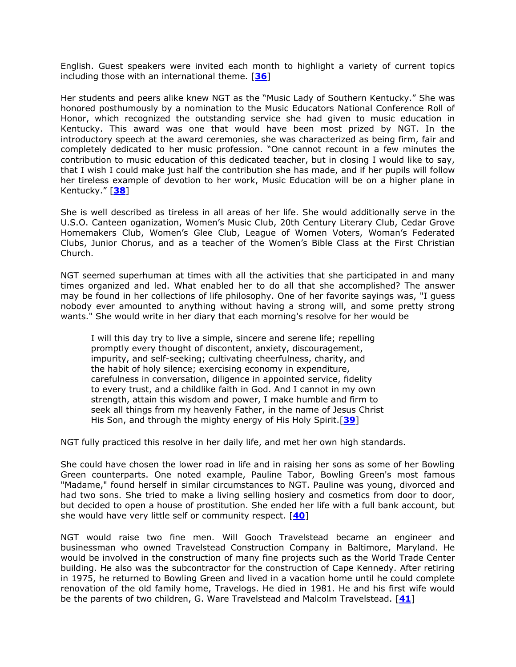English. Guest speakers were invited each month to highlight a variety of current topics including those with an international theme. [**[36](file:///C:/Libraries/dlsc/ua/188.htm%2336)**]

Her students and peers alike knew NGT as the "Music Lady of Southern Kentucky." She was honored posthumously by a nomination to the Music Educators National Conference Roll of Honor, which recognized the outstanding service she had given to music education in Kentucky. This award was one that would have been most prized by NGT. In the introductory speech at the award ceremonies, she was characterized as being firm, fair and completely dedicated to her music profession. "One cannot recount in a few minutes the contribution to music education of this dedicated teacher, but in closing I would like to say, that I wish I could make just half the contribution she has made, and if her pupils will follow her tireless example of devotion to her work, Music Education will be on a higher plane in Kentucky.‖ [**[38](file:///C:/Libraries/dlsc/ua/188.htm%2338)**]

She is well described as tireless in all areas of her life. She would additionally serve in the U.S.O. Canteen oganization, Women's Music Club, 20th Century Literary Club, Cedar Grove Homemakers Club, Women's Glee Club, League of Women Voters, Woman's Federated Clubs, Junior Chorus, and as a teacher of the Women's Bible Class at the First Christian Church.

NGT seemed superhuman at times with all the activities that she participated in and many times organized and led. What enabled her to do all that she accomplished? The answer may be found in her collections of life philosophy. One of her favorite sayings was, "I guess nobody ever amounted to anything without having a strong will, and some pretty strong wants." She would write in her diary that each morning's resolve for her would be

I will this day try to live a simple, sincere and serene life; repelling promptly every thought of discontent, anxiety, discouragement, impurity, and self-seeking; cultivating cheerfulness, charity, and the habit of holy silence; exercising economy in expenditure, carefulness in conversation, diligence in appointed service, fidelity to every trust, and a childlike faith in God. And I cannot in my own strength, attain this wisdom and power, I make humble and firm to seek all things from my heavenly Father, in the name of Jesus Christ His Son, and through the mighty energy of His Holy Spirit.[**[39](file:///C:/Libraries/dlsc/ua/188.htm%2339)**]

NGT fully practiced this resolve in her daily life, and met her own high standards.

She could have chosen the lower road in life and in raising her sons as some of her Bowling Green counterparts. One noted example, Pauline Tabor, Bowling Green's most famous "Madame," found herself in similar circumstances to NGT. Pauline was young, divorced and had two sons. She tried to make a living selling hosiery and cosmetics from door to door, but decided to open a house of prostitution. She ended her life with a full bank account, but she would have very little self or community respect. [**[40](file:///C:/Libraries/dlsc/ua/188.htm%2340)**]

NGT would raise two fine men. Will Gooch Travelstead became an engineer and businessman who owned Travelstead Construction Company in Baltimore, Maryland. He would be involved in the construction of many fine projects such as the World Trade Center building. He also was the subcontractor for the construction of Cape Kennedy. After retiring in 1975, he returned to Bowling Green and lived in a vacation home until he could complete renovation of the old family home, Travelogs. He died in 1981. He and his first wife would be the parents of two children, G. Ware Travelstead and Malcolm Travelstead. [**[41](file:///C:/Libraries/dlsc/ua/188.htm%2341)**]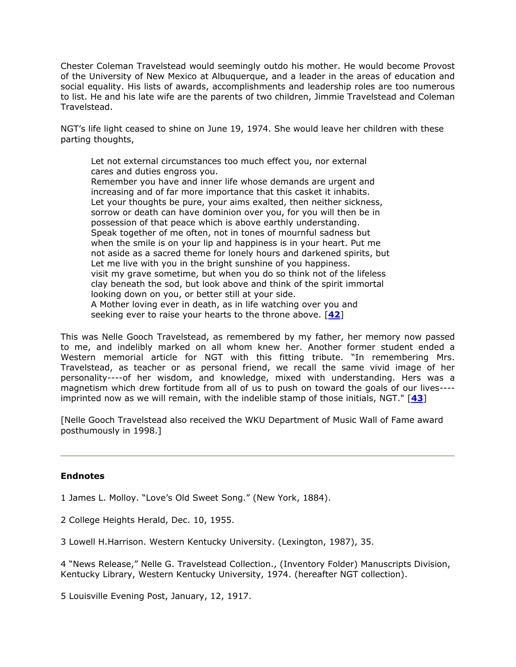Chester Coleman Travelstead would seemingly outdo his mother. He would become Provost of the University of New Mexico at Albuquerque, and a leader in the areas of education and social equality. His lists of awards, accomplishments and leadership roles are too numerous to list. He and his late wife are the parents of two children, Jimmie Travelstead and Coleman Travelstead.

NGT's life light ceased to shine on June 19, 1974. She would leave her children with these parting thoughts,

Let not external circumstances too much effect you, nor external cares and duties engross you.

Remember you have and inner life whose demands are urgent and increasing and of far more importance that this casket it inhabits. Let your thoughts be pure, your aims exalted, then neither sickness, sorrow or death can have dominion over you, for you will then be in possession of that peace which is above earthly understanding. Speak together of me often, not in tones of mournful sadness but when the smile is on your lip and happiness is in your heart. Put me not aside as a sacred theme for lonely hours and darkened spirits, but Let me live with you in the bright sunshine of you happiness. visit my grave sometime, but when you do so think not of the lifeless clay beneath the sod, but look above and think of the spirit immortal looking down on you, or better still at your side. A Mother loving ever in death, as in life watching over you and seeking ever to raise your hearts to the throne above. [**[42](file:///C:/Libraries/dlsc/ua/188.htm%2342)**]

This was Nelle Gooch Travelstead, as remembered by my father, her memory now passed to me, and indelibly marked on all whom knew her. Another former student ended a Western memorial article for NGT with this fitting tribute. "In remembering Mrs. Travelstead, as teacher or as personal friend, we recall the same vivid image of her personality----of her wisdom, and knowledge, mixed with understanding. Hers was a magnetism which drew fortitude from all of us to push on toward the goals of our lives--- imprinted now as we will remain, with the indelible stamp of those initials, NGT." [**[43](file:///C:/Libraries/dlsc/ua/188.htm%2343)**]

[Nelle Gooch Travelstead also received the WKU Department of Music Wall of Fame award posthumously in 1998.]

#### **Endnotes**

1 James L. Molloy. "Love's Old Sweet Song." (New York, 1884).

2 College Heights Herald, Dec. 10, 1955.

3 Lowell H.Harrison. Western Kentucky University. (Lexington, 1987), 35.

4 "News Release," Nelle G. Travelstead Collection., (Inventory Folder) Manuscripts Division, Kentucky Library, Western Kentucky University, 1974. (hereafter NGT collection).

5 Louisville Evening Post, January, 12, 1917.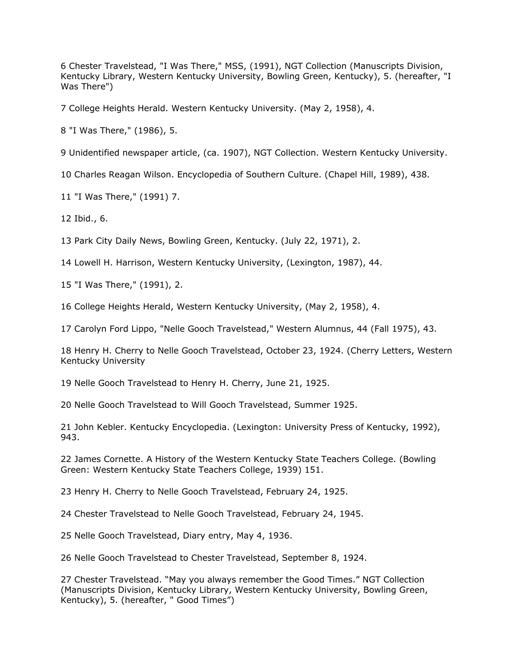6 Chester Travelstead, "I Was There," MSS, (1991), NGT Collection (Manuscripts Division, Kentucky Library, Western Kentucky University, Bowling Green, Kentucky), 5. (hereafter, "I Was There")

7 College Heights Herald. Western Kentucky University. (May 2, 1958), 4.

8 "I Was There," (1986), 5.

9 Unidentified newspaper article, (ca. 1907), NGT Collection. Western Kentucky University.

10 Charles Reagan Wilson. Encyclopedia of Southern Culture. (Chapel Hill, 1989), 438.

11 "I Was There," (1991) 7.

12 Ibid., 6.

13 Park City Daily News, Bowling Green, Kentucky. (July 22, 1971), 2.

14 Lowell H. Harrison, Western Kentucky University, (Lexington, 1987), 44.

15 "I Was There," (1991), 2.

16 College Heights Herald, Western Kentucky University, (May 2, 1958), 4.

17 Carolyn Ford Lippo, "Nelle Gooch Travelstead," Western Alumnus, 44 (Fall 1975), 43.

18 Henry H. Cherry to Nelle Gooch Travelstead, October 23, 1924. (Cherry Letters, Western Kentucky University

19 Nelle Gooch Travelstead to Henry H. Cherry, June 21, 1925.

20 Nelle Gooch Travelstead to Will Gooch Travelstead, Summer 1925.

21 John Kebler. Kentucky Encyclopedia. (Lexington: University Press of Kentucky, 1992), 943.

22 James Cornette. A History of the Western Kentucky State Teachers College. (Bowling Green: Western Kentucky State Teachers College, 1939) 151.

23 Henry H. Cherry to Nelle Gooch Travelstead, February 24, 1925.

24 Chester Travelstead to Nelle Gooch Travelstead, February 24, 1945.

25 Nelle Gooch Travelstead, Diary entry, May 4, 1936.

26 Nelle Gooch Travelstead to Chester Travelstead, September 8, 1924.

27 Chester Travelstead. "May you always remember the Good Times." NGT Collection (Manuscripts Division, Kentucky Library, Western Kentucky University, Bowling Green, Kentucky), 5. (hereafter, " Good Times")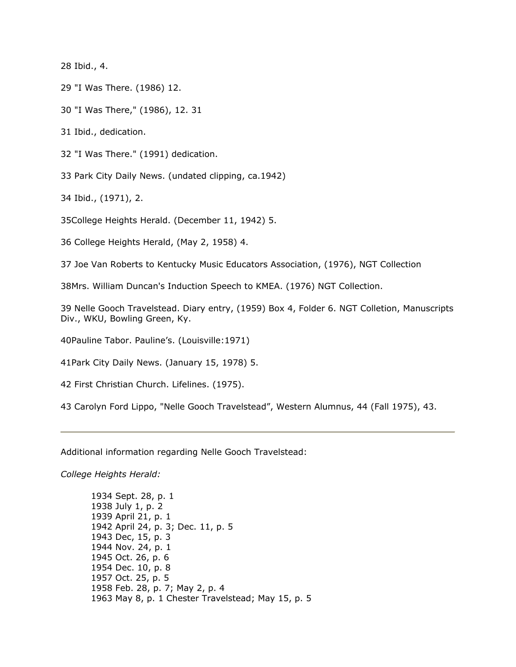28 Ibid., 4.

29 "I Was There. (1986) 12.

30 "I Was There," (1986), 12. 31

31 Ibid., dedication.

32 "I Was There." (1991) dedication.

33 Park City Daily News. (undated clipping, ca.1942)

34 Ibid., (1971), 2.

35College Heights Herald. (December 11, 1942) 5.

36 College Heights Herald, (May 2, 1958) 4.

37 Joe Van Roberts to Kentucky Music Educators Association, (1976), NGT Collection

38Mrs. William Duncan's Induction Speech to KMEA. (1976) NGT Collection.

39 Nelle Gooch Travelstead. Diary entry, (1959) Box 4, Folder 6. NGT Colletion, Manuscripts Div., WKU, Bowling Green, Ky.

40Pauline Tabor. Pauline's. (Louisville:1971)

41Park City Daily News. (January 15, 1978) 5.

42 First Christian Church. Lifelines. (1975).

43 Carolyn Ford Lippo, "Nelle Gooch Travelstead", Western Alumnus, 44 (Fall 1975), 43.

Additional information regarding Nelle Gooch Travelstead:

*College Heights Herald:*

1934 Sept. 28, p. 1 1938 July 1, p. 2 1939 April 21, p. 1 1942 April 24, p. 3; Dec. 11, p. 5 1943 Dec, 15, p. 3 1944 Nov. 24, p. 1 1945 Oct. 26, p. 6 1954 Dec. 10, p. 8 1957 Oct. 25, p. 5 1958 Feb. 28, p. 7; May 2, p. 4 1963 May 8, p. 1 Chester Travelstead; May 15, p. 5